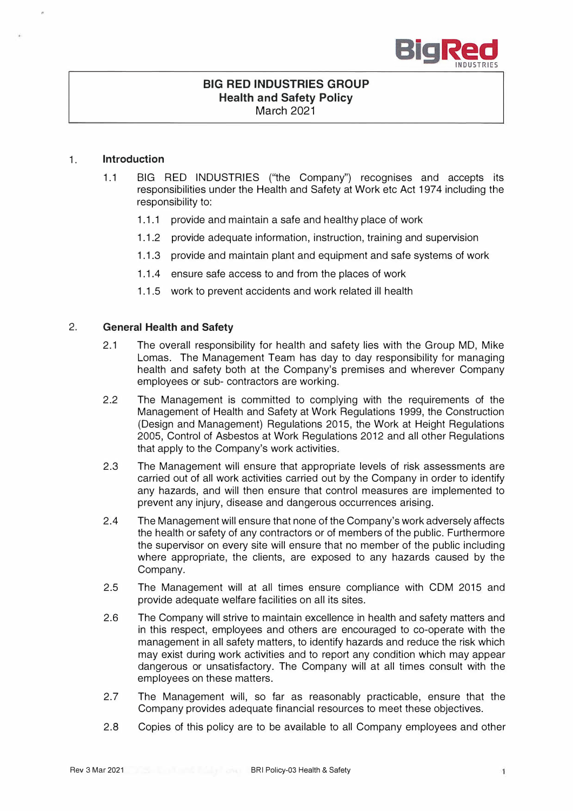

## **BIG RED INDUSTRIES GROUP Health and Safety Policy**  March 2021

#### 1 . **Introduction**

- 1.1 BIG RED INDUSTRIES ("the Company") recognises and accepts its responsibilities under the Health and Safety at Work etc Act 1974 including the responsibility to:
	- 1.1.1 provide and maintain a safe and healthy place of work
	- 1.1 .2 provide adequate information, instruction, training and supervision
	- 1.1 .3 provide and maintain plant and equipment and safe systems of work
	- 1.1.4 ensure safe access to and from the places of work
	- 1.1 .5 work to prevent accidents and work related ill health

#### **2. General Health and Safety**

- 2.1 The overall responsibility for health and safety lies with the Group MD, Mike Lomas. The Management Team has day to day responsibility for managing health and safety both at the Company's premises and wherever Company employees or sub- contractors are working.
- 2.2 The Management is committed to complying with the requirements of the Management of Health and Safety at Work Regulations 1999, the Construction (Design and Management) Regulations 2015, the Work at Height Regulations 2005, Control of Asbestos at Work Regulations 2012 and all other Regulations that apply to the Company's work activities.
- 2.3 The Management will ensure that appropriate levels of risk assessments are carried out of all work activities carried out by the Company in order to identify any hazards, and will then ensure that control measures are implemented to prevent any injury, disease and dangerous occurrences arising.
- 2.4 The Management will ensure that none of the Company's work adversely affects the health or safety of any contractors or of members of the public. Furthermore the supervisor on every site will ensure that no member of the public including where appropriate, the clients, are exposed to any hazards caused by the Company.
- 2.5 The Management will at all times ensure compliance with COM 2015 and provide adequate welfare facilities on all its sites.
- 2.6 The Company will strive to maintain excellence in health and safety matters and in this respect, employees and others are encouraged to co-operate with the management in all safety matters, to identify hazards and reduce the risk which may exist during work activities and to report any condition which may appear dangerous or unsatisfactory. The Company will at all times consult with the employees on these matters.
- 2.7 The Management will, so far as reasonably practicable, ensure that the Company provides adequate financial resources to meet these objectives.
- 2.8 Copies of this policy are to be available to all Company employees and other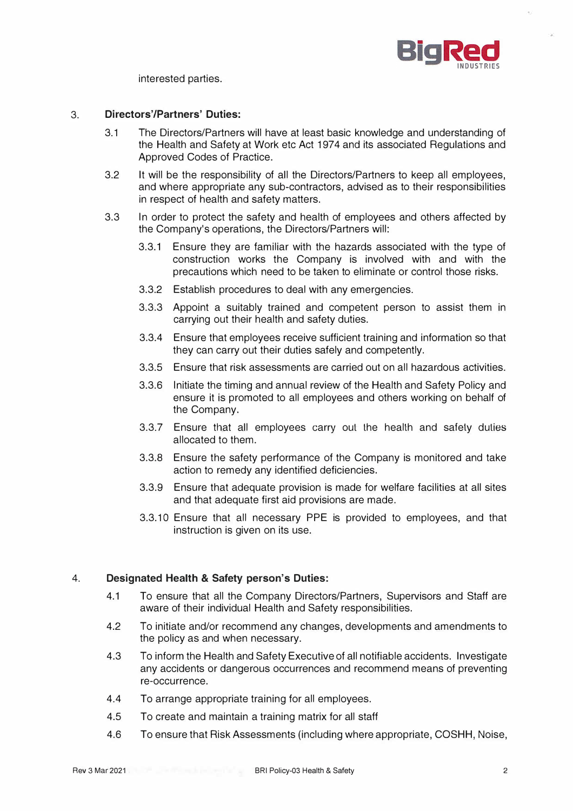

interested parties.

## 3. **Directors'/Partners' Duties:**

- 3.1 The Directors/Partners will have at least basic knowledge and understanding of the Health and Safety at Work etc Act 1974 and its associated Regulations and Approved Codes of Practice.
- 3.2 It will be the responsibility of all the Directors/Partners to keep all employees, and where appropriate any sub-contractors, advised as to their responsibilities in respect of health and safety matters.
- 3.3 In order to protect the safety and health of employees and others affected by the Company's operations, the Directors/Partners will:
	- 3.3.1 Ensure they are familiar with the hazards associated with the type of construction works the Company is involved with and with the precautions which need to be taken to eliminate or control those risks.
	- 3.3.2 Establish procedures to deal with any emergencies.
	- 3.3.3 Appoint a suitably trained and competent person to assist them in carrying out their health and safety duties.
	- 3.3.4 Ensure that employees receive sufficient training and information so that they can carry out their duties safely and competently.
	- 3.3.5 Ensure that risk assessments are carried out on all hazardous activities.
	- 3.3.6 Initiate the timing and annual review of the Health and Safety Policy and ensure it is promoted to all employees and others working on behalf of the Company.
	- 3.3.7 Ensure that all employees carry out the health and safety duties allocated to them.
	- 3.3.8 Ensure the safety performance of the Company is monitored and take action to remedy any identified deficiencies.
	- 3.3.9 Ensure that adequate provision is made for welfare facilities at all sites and that adequate first aid provisions are made.
	- 3.3.10 Ensure that all necessary PPE is provided to employees, and that instruction is given on its use.

### **4. Designated Health & Safety person's Duties:**

- 4.1 To ensure that all the Company Directors/Partners, Supervisors and Staff are aware of their individual Health and Safety responsibilities.
- 4.2 To initiate and/or recommend any changes, developments and amendments to the policy as and when necessary.
- 4.3 To inform the Health and Safety Executive of all notifiable accidents. Investigate any accidents or dangerous occurrences and recommend means of preventing re-occurrence.
- 4.4 To arrange appropriate training for all employees.
- 4.5 To create and maintain a training matrix for all staff
- 4.6 To ensure that Risk Assessments (including where appropriate, COSHH, Noise,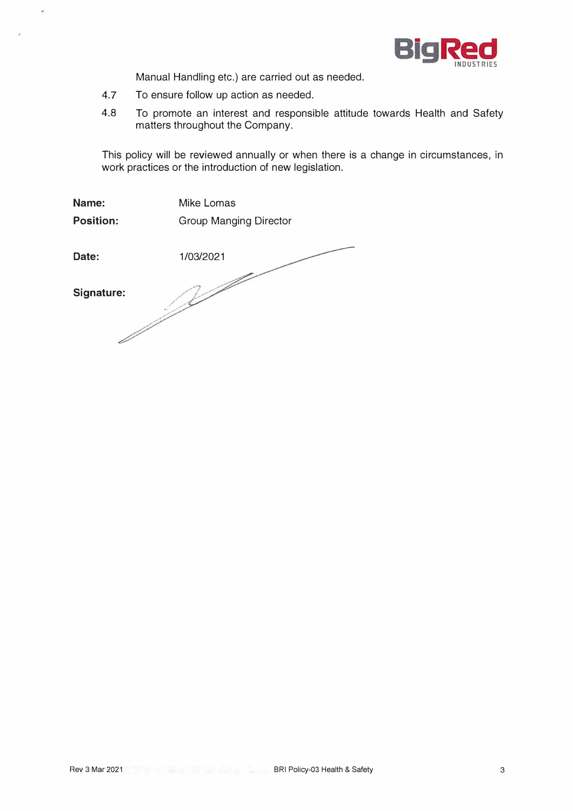

Manual Handling etc.) are carried out as needed.

4.7 To ensure follow up action as needed.

ä

4.8 To promote an interest and responsible attitude towards Health and Safety matters throughout the Company.

This policy will be reviewed annually or when there is a change in circumstances, in work practices or the introduction of new legislation.

| Name:            | Mike Lomas             |  |
|------------------|------------------------|--|
| <b>Position:</b> | Group Manging Director |  |
| Date:            | 1/03/2021              |  |

**Desimination of the contract of the contract of the contract of the contract of the contract of the contract of the contract of the contract of the contract of the contract of the contract of the contract of the contract Signature:**